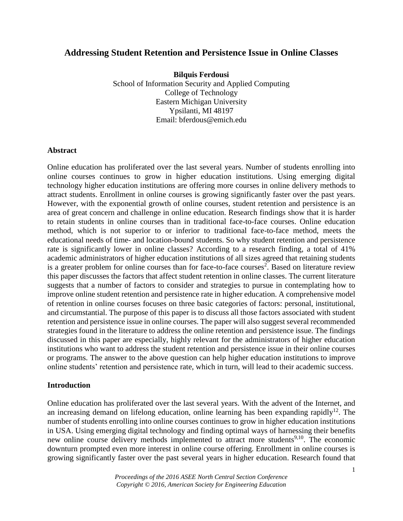# **Addressing Student Retention and Persistence Issue in Online Classes**

**Bilquis Ferdousi** School of Information Security and Applied Computing College of Technology Eastern Michigan University Ypsilanti, MI 48197 Email: bferdous@emich.edu

#### **Abstract**

Online education has proliferated over the last several years. Number of students enrolling into online courses continues to grow in higher education institutions. Using emerging digital technology higher education institutions are offering more courses in online delivery methods to attract students. Enrollment in online courses is growing significantly faster over the past years. However, with the exponential growth of online courses, student retention and persistence is an area of great concern and challenge in online education. Research findings show that it is harder to retain students in online courses than in traditional face-to-face courses. Online education method, which is not superior to or inferior to traditional face-to-face method, meets the educational needs of time- and location-bound students. So why student retention and persistence rate is significantly lower in online classes? According to a research finding, a total of 41% academic administrators of higher education institutions of all sizes agreed that retaining students is a greater problem for online courses than for face-to-face courses<sup>2</sup>. Based on literature review this paper discusses the factors that affect student retention in online classes. The current literature suggests that a number of factors to consider and strategies to pursue in contemplating how to improve online student retention and persistence rate in higher education. A comprehensive model of retention in online courses focuses on three basic categories of factors: personal, institutional, and circumstantial. The purpose of this paper is to discuss all those factors associated with student retention and persistence issue in online courses. The paper will also suggest several recommended strategies found in the literature to address the online retention and persistence issue. The findings discussed in this paper are especially, highly relevant for the administrators of higher education institutions who want to address the student retention and persistence issue in their online courses or programs. The answer to the above question can help higher education institutions to improve online students' retention and persistence rate, which in turn, will lead to their academic success.

#### **Introduction**

Online education has proliferated over the last several years. With the advent of the Internet, and an increasing demand on lifelong education, online learning has been expanding rapidly<sup>12</sup>. The number of students enrolling into online courses continues to grow in higher education institutions in USA. Using emerging digital technology and finding optimal ways of harnessing their benefits new online course delivery methods implemented to attract more students<sup>9,10</sup>. The economic downturn prompted even more interest in online course offering. Enrollment in online courses is growing significantly faster over the past several years in higher education. Research found that

> *Proceedings of the 2016 ASEE North Central Section Conference Copyright © 2016, American Society for Engineering Education*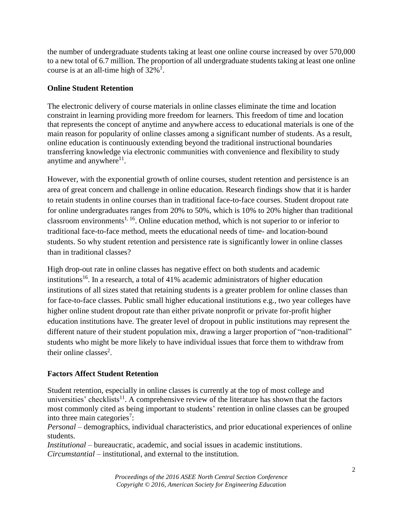the number of undergraduate students taking at least one online course increased by over 570,000 to a new total of 6.7 million. The proportion of all undergraduate students taking at least one online course is at an all-time high of  $32\%$ <sup>1</sup>.

# **Online Student Retention**

The electronic delivery of course materials in online classes eliminate the time and location constraint in learning providing more freedom for learners. This freedom of time and location that represents the concept of anytime and anywhere access to educational materials is one of the main reason for popularity of online classes among a significant number of students. As a result, online education is continuously extending beyond the traditional instructional boundaries transferring knowledge via electronic communities with convenience and flexibility to study anytime and anywhere $11$ .

However, with the exponential growth of online courses, student retention and persistence is an area of great concern and challenge in online education. Research findings show that it is harder to retain students in online courses than in traditional face-to-face courses. Student dropout rate for online undergraduates ranges from 20% to 50%, which is 10% to 20% higher than traditional classroom environments<sup>1, 16</sup>. Online education method, which is not superior to or inferior to traditional face-to-face method, meets the educational needs of time- and location-bound students. So why student retention and persistence rate is significantly lower in online classes than in traditional classes?

High drop-out rate in online classes has negative effect on both students and academic institutions<sup>16</sup>. In a research, a total of 41% academic administrators of higher education institutions of all sizes stated that retaining students is a greater problem for online classes than for face-to-face classes. Public small higher educational institutions e.g., two year colleges have higher online student dropout rate than either private nonprofit or private for-profit higher education institutions have. The greater level of dropout in public institutions may represent the different nature of their student population mix, drawing a larger proportion of "non-traditional" students who might be more likely to have individual issues that force them to withdraw from their online classes<sup>2</sup>.

# **Factors Affect Student Retention**

Student retention, especially in online classes is currently at the top of most college and universities' checklists<sup>11</sup>. A comprehensive review of the literature has shown that the factors most commonly cited as being important to students' retention in online classes can be grouped into three main categories<sup>7</sup>:

*Personal* – demographics, individual characteristics, and prior educational experiences of online students.

*Institutional* – bureaucratic, academic, and social issues in academic institutions. *Circumstantial* – institutional, and external to the institution.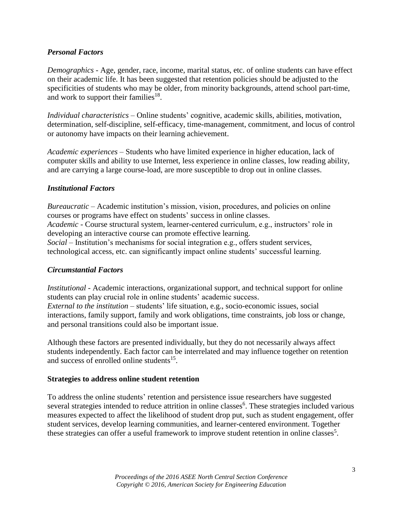# *Personal Factors*

*Demographics* - Age, gender, race, income, marital status, etc. of online students can have effect on their academic life. It has been suggested that retention policies should be adjusted to the specificities of students who may be older, from minority backgrounds, attend school part-time, and work to support their families<sup>18</sup>.

*Individual characteristics* – Online students' cognitive, academic skills, abilities, motivation, determination, self-discipline, self-efficacy, time-management, commitment, and locus of control or autonomy have impacts on their learning achievement.

*Academic experiences* – Students who have limited experience in higher education, lack of computer skills and ability to use Internet, less experience in online classes, low reading ability, and are carrying a large course-load, are more susceptible to drop out in online classes.

### *Institutional Factors*

*Bureaucratic* – Academic institution's mission, vision, procedures, and policies on online courses or programs have effect on students' success in online classes. *Academic* - Course structural system, learner-centered curriculum, e.g., instructors' role in developing an interactive course can promote effective learning. *Social* – Institution's mechanisms for social integration e.g., offers student services, technological access, etc. can significantly impact online students' successful learning.

### *Circumstantial Factors*

*Institutional* - Academic interactions, organizational support, and technical support for online students can play crucial role in online students' academic success. *External to the institution* – students' life situation, e.g., socio-economic issues, social interactions, family support, family and work obligations, time constraints, job loss or change, and personal transitions could also be important issue.

Although these factors are presented individually, but they do not necessarily always affect students independently. Each factor can be interrelated and may influence together on retention and success of enrolled online students<sup>15</sup>.

### **Strategies to address online student retention**

To address the online students' retention and persistence issue researchers have suggested several strategies intended to reduce attrition in online classes<sup>6</sup>. These strategies included various measures expected to affect the likelihood of student drop put, such as student engagement, offer student services, develop learning communities, and learner-centered environment. Together these strategies can offer a useful framework to improve student retention in online classes<sup>5</sup>.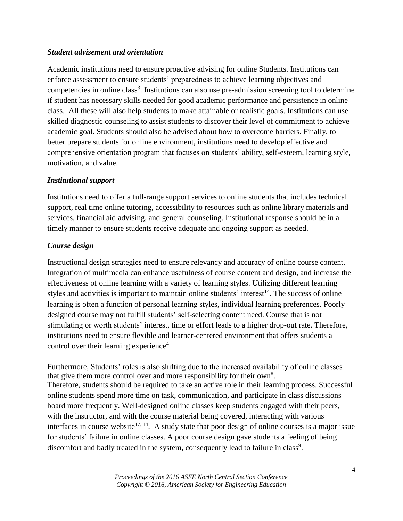# *Student advisement and orientation*

Academic institutions need to ensure proactive advising for online Students. Institutions can enforce assessment to ensure students' preparedness to achieve learning objectives and competencies in online class<sup>3</sup>. Institutions can also use pre-admission screening tool to determine if student has necessary skills needed for good academic performance and persistence in online class. All these will also help students to make attainable or realistic goals. Institutions can use skilled diagnostic counseling to assist students to discover their level of commitment to achieve academic goal. Students should also be advised about how to overcome barriers. Finally, to better prepare students for online environment, institutions need to develop effective and comprehensive orientation program that focuses on students' ability, self-esteem, learning style, motivation, and value.

# *Institutional support*

Institutions need to offer a full-range support services to online students that includes technical support, real time online tutoring, accessibility to resources such as online library materials and services, financial aid advising, and general counseling. Institutional response should be in a timely manner to ensure students receive adequate and ongoing support as needed.

# *Course design*

Instructional design strategies need to ensure relevancy and accuracy of online course content. Integration of multimedia can enhance usefulness of course content and design, and increase the effectiveness of online learning with a variety of learning styles. Utilizing different learning styles and activities is important to maintain online students' interest $<sup>14</sup>$ . The success of online</sup> learning is often a function of personal learning styles, individual learning preferences. Poorly designed course may not fulfill students' self-selecting content need. Course that is not stimulating or worth students' interest, time or effort leads to a higher drop-out rate. Therefore, institutions need to ensure flexible and learner-centered environment that offers students a control over their learning experience<sup>4</sup>.

Furthermore, Students' roles is also shifting due to the increased availability of online classes that give them more control over and more responsibility for their own<sup>8</sup>. Therefore, students should be required to take an active role in their learning process. Successful online students spend more time on task, communication, and participate in class discussions board more frequently. Well-designed online classes keep students engaged with their peers, with the instructor, and with the course material being covered, interacting with various interfaces in course website<sup>17, 14</sup>. A study state that poor design of online courses is a major issue for students' failure in online classes. A poor course design gave students a feeling of being discomfort and badly treated in the system, consequently lead to failure in class<sup>9</sup>.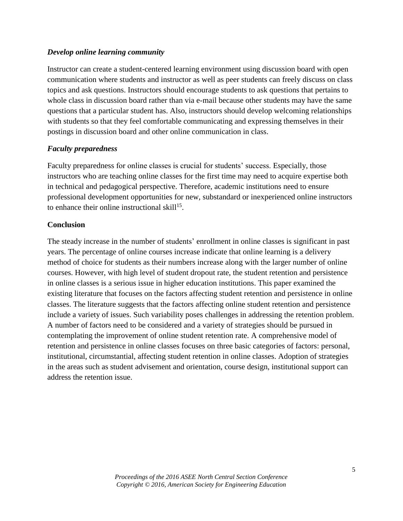### *Develop online learning community*

Instructor can create a student-centered learning environment using discussion board with open communication where students and instructor as well as peer students can freely discuss on class topics and ask questions. Instructors should encourage students to ask questions that pertains to whole class in discussion board rather than via e-mail because other students may have the same questions that a particular student has. Also, instructors should develop welcoming relationships with students so that they feel comfortable communicating and expressing themselves in their postings in discussion board and other online communication in class.

# *Faculty preparedness*

Faculty preparedness for online classes is crucial for students' success. Especially, those instructors who are teaching online classes for the first time may need to acquire expertise both in technical and pedagogical perspective. Therefore, academic institutions need to ensure professional development opportunities for new, substandard or inexperienced online instructors to enhance their online instructional skill $15$ .

# **Conclusion**

The steady increase in the number of students' enrollment in online classes is significant in past years. The percentage of online courses increase indicate that online learning is a delivery method of choice for students as their numbers increase along with the larger number of online courses. However, with high level of student dropout rate, the student retention and persistence in online classes is a serious issue in higher education institutions. This paper examined the existing literature that focuses on the factors affecting student retention and persistence in online classes. The literature suggests that the factors affecting online student retention and persistence include a variety of issues. Such variability poses challenges in addressing the retention problem. A number of factors need to be considered and a variety of strategies should be pursued in contemplating the improvement of online student retention rate. A comprehensive model of retention and persistence in online classes focuses on three basic categories of factors: personal, institutional, circumstantial, affecting student retention in online classes. Adoption of strategies in the areas such as student advisement and orientation, course design, institutional support can address the retention issue.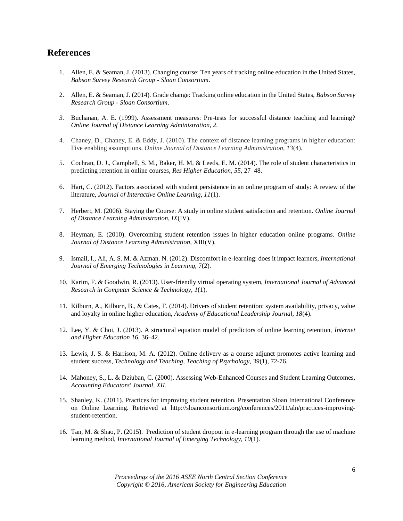# **References**

- 1. Allen, E. & Seaman, J. (2013). Changing course: Ten years of tracking online education in the United States, *Babson Survey Research Group - Sloan Consortium*.
- 2. Allen, E. & Seaman, J. (2014). Grade change: Tracking online education in the United States, *Babson Survey Research Group - Sloan Consortium*.
- *3.* Buchanan, A. E. (1999). Assessment measures: Pre-tests for successful distance teaching and learning? *Online Journal of Distance Learning Administration, 2.*
- 4. Chaney, D., Chaney, E. & Eddy, J. (2010). The context of distance learning programs in higher education: Five enabling assumptions. *Online Journal of Distance Learning Administration, 13*(4).
- 5. Cochran, D. J., Campbell, S. M., Baker, H. M, & Leeds, E. M. (2014). The role of student characteristics in predicting retention in online courses, *Res Higher Education, 55,* 27–48.
- 6. Hart, C. (2012). Factors associated with student persistence in an online program of study: A review of the literature, *Journal of Interactive Online Learning, 11*(1).
- 7. Herbert, M. (2006). Staying the Course: A study in online student satisfaction and retention. *Online Journal of Distance Learning Administration, IX*(IV).
- 8. Heyman, E. (2010). Overcoming student retention issues in higher education online programs. *Online Journal of Distance Learning Administration,* XIII(V).
- 9. Ismail, I., Ali, A. S. M. & Azman. N. (2012). Discomfort in e-learning: does it impact learners, *International Journal of Emerging Technologies in Learning,* 7(2).
- 10. Karim, F. & Goodwin, R. (2013). User-friendly virtual operating system, *International Journal of Advanced Research in Computer Science & Technology, 1*(1).
- 11. Kilburn, A., Kilburn, B., & Cates, T. (2014). Drivers of student retention: system availability, privacy, value and loyalty in online higher education, *Academy of Educational Leadership Journal, 18*(4).
- 12. Lee, Y. & Choi, J. (2013). A structural equation model of predictors of online learning retention, *Internet and Higher Education 16,* 36–42.
- 13. Lewis, J. S. & Harrison, M. A. (2012). Online delivery as a course adjunct promotes active learning and student success, *Technology and Teaching, Teaching of Psychology, 39*(1), 72-76.
- 14. Mahoney, S., L. & Dziuban, C. (2000). Assessing Web-Enhanced Courses and Student Learning Outcomes, *Accounting Educators' Journal, XII*.
- 15. Shanley, K. (2011). Practices for improving student retention. Presentation Sloan International Conference on Online Learning. Retrieved at http://sloanconsortium.org/conferences/2011/aln/practices-improvingstudent-retention.
- 16. Tan, M. & Shao, P. (2015). Prediction of student dropout in e-learning program through the use of machine learning method, *International Journal of Emerging Technology, 10*(1).